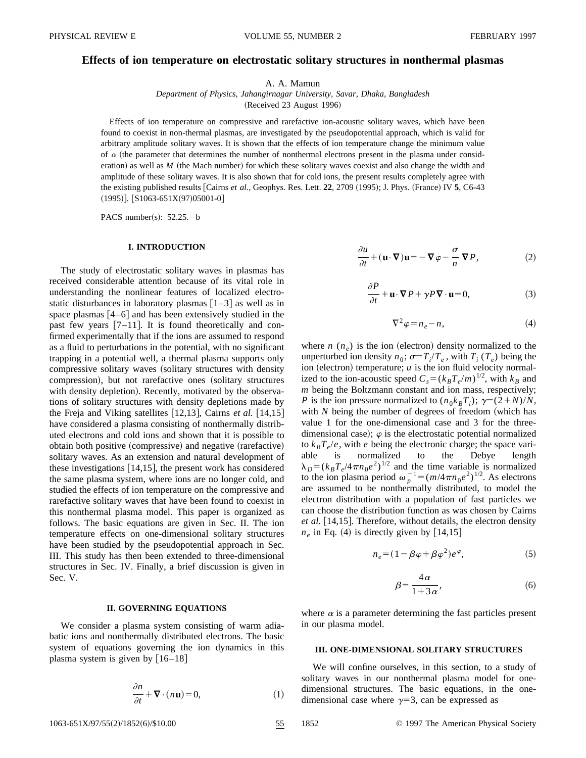# **Effects of ion temperature on electrostatic solitary structures in nonthermal plasmas**

A. A. Mamun

*Department of Physics, Jahangirnagar University, Savar, Dhaka, Bangladesh* (Received 23 August 1996)

Effects of ion temperature on compressive and rarefactive ion-acoustic solitary waves, which have been found to coexist in non-thermal plasmas, are investigated by the pseudopotential approach, which is valid for arbitrary amplitude solitary waves. It is shown that the effects of ion temperature change the minimum value of  $\alpha$  (the parameter that determines the number of nonthermal electrons present in the plasma under consideration) as well as *M* (the Mach number) for which these solitary waves coexist and also change the width and amplitude of these solitary waves. It is also shown that for cold ions, the present results completely agree with the existing published results [Cairns *et al.*, Geophys. Res. Lett. 22, 2709 (1995); J. Phys. (France) IV 5, C6-43  $(1995)$ ]. [S1063-651X $(97)$ 05001-0]

PACS number(s):  $52.25.-b$ 

#### **I. INTRODUCTION**

The study of electrostatic solitary waves in plasmas has received considerable attention because of its vital role in understanding the nonlinear features of localized electrostatic disturbances in laboratory plasmas  $\left[1-3\right]$  as well as in space plasmas  $[4-6]$  and has been extensively studied in the past few years  $[7-11]$ . It is found theoretically and confirmed experimentally that if the ions are assumed to respond as a fluid to perturbations in the potential, with no significant trapping in a potential well, a thermal plasma supports only compressive solitary waves (solitary structures with density compression), but not rarefactive ones (solitary structures with density depletion). Recently, motivated by the observations of solitary structures with density depletions made by the Freja and Viking satellites  $[12,13]$ , Cairns *et al.*  $[14,15]$ have considered a plasma consisting of nonthermally distributed electrons and cold ions and shown that it is possible to obtain both positive (compressive) and negative (rarefactive) solitary waves. As an extension and natural development of these investigations  $[14,15]$ , the present work has considered the same plasma system, where ions are no longer cold, and studied the effects of ion temperature on the compressive and rarefactive solitary waves that have been found to coexist in this nonthermal plasma model. This paper is organized as follows. The basic equations are given in Sec. II. The ion temperature effects on one-dimensional solitary structures have been studied by the pseudopotential approach in Sec. III. This study has then been extended to three-dimensional structures in Sec. IV. Finally, a brief discussion is given in Sec. V.

#### **II. GOVERNING EQUATIONS**

We consider a plasma system consisting of warm adiabatic ions and nonthermally distributed electrons. The basic system of equations governing the ion dynamics in this plasma system is given by  $[16–18]$ 

$$
\frac{\partial n}{\partial t} + \nabla \cdot (n\mathbf{u}) = 0,\tag{1}
$$

$$
\frac{\partial u}{\partial t} + (\mathbf{u} \cdot \nabla)\mathbf{u} = -\nabla \varphi - \frac{\sigma}{n} \nabla P, \qquad (2)
$$

$$
\frac{\partial P}{\partial t} + \mathbf{u} \cdot \nabla P + \gamma P \nabla \cdot \mathbf{u} = 0,\tag{3}
$$

$$
\nabla^2 \varphi = n_e - n,\tag{4}
$$

where  $n(n_e)$  is the ion (electron) density normalized to the unperturbed ion density  $n_0$ ;  $\sigma = T_i/T_e$ , with  $T_i$  ( $T_e$ ) being the ion (electron) temperature;  $u$  is the ion fluid velocity normalized to the ion-acoustic speed  $C_s = (k_B T_e/m)^{1/2}$ , with  $k_B$  and *m* being the Boltzmann constant and ion mass, respectively; *P* is the ion pressure normalized to  $(n_0k_BT_i)$ ;  $\gamma = (2+N)/N$ , with  $N$  being the number of degrees of freedom (which has value 1 for the one-dimensional case and 3 for the threedimensional case);  $\varphi$  is the electrostatic potential normalized to  $k_B T_e/e$ , with *e* being the electronic charge; the space variable is normalized to the Debye length  $\lambda_D = (k_B T_e / 4 \pi n_0 e^2)^{1/2}$  and the time variable is normalized to the ion plasma period  $\omega_p^{-1} = (m/4\pi n_0 e^2)^{1/2}$ . As electrons are assumed to be nonthermally distributed, to model the electron distribution with a population of fast particles we can choose the distribution function as was chosen by Cairns *et al.* [14,15]. Therefore, without details, the electron density  $n_e$  in Eq. (4) is directly given by [14,15]

$$
n_e = (1 - \beta \varphi + \beta \varphi^2) e^{\varphi}, \tag{5}
$$

$$
\beta = \frac{4\,\alpha}{1+3\,\alpha},\tag{6}
$$

where  $\alpha$  is a parameter determining the fast particles present in our plasma model.

### **III. ONE-DIMENSIONAL SOLITARY STRUCTURES**

We will confine ourselves, in this section, to a study of solitary waves in our nonthermal plasma model for onedimensional structures. The basic equations, in the onedimensional case where  $\gamma=3$ , can be expressed as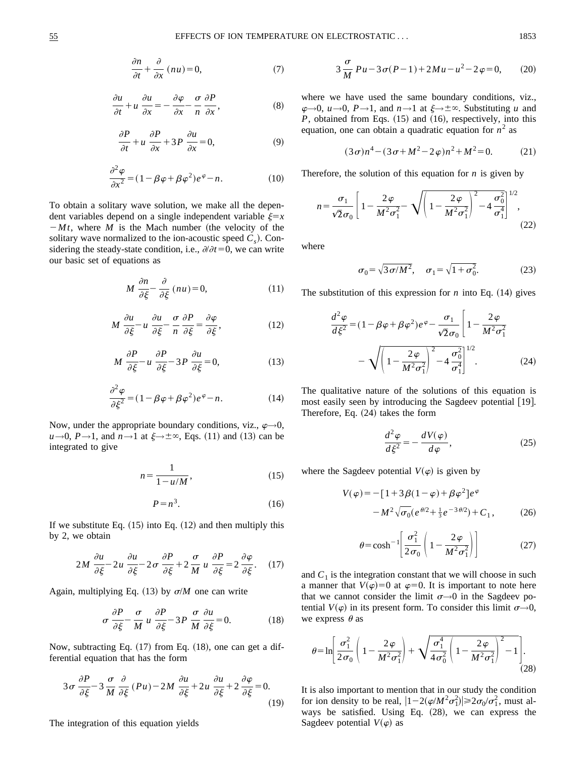$$
\frac{\partial n}{\partial t} + \frac{\partial}{\partial x} (nu) = 0, \tag{7}
$$

$$
\frac{\partial u}{\partial t} + u \frac{\partial u}{\partial x} = -\frac{\partial \varphi}{\partial x} - \frac{\sigma}{n} \frac{\partial P}{\partial x},
$$
 (8)

$$
\frac{\partial P}{\partial t} + u \frac{\partial P}{\partial x} + 3P \frac{\partial u}{\partial x} = 0, \tag{9}
$$

$$
\frac{\partial^2 \varphi}{\partial x^2} = (1 - \beta \varphi + \beta \varphi^2) e^{\varphi} - n.
$$
 (10)

To obtain a solitary wave solution, we make all the dependent variables depend on a single independent variable  $\xi = x$  $-Mt$ , where *M* is the Mach number (the velocity of the solitary wave normalized to the ion-acoustic speed  $C_s$ ). Considering the steady-state condition, i.e.,  $\partial/\partial t=0$ , we can write our basic set of equations as

$$
M \frac{\partial n}{\partial \xi} - \frac{\partial}{\partial \xi} (nu) = 0, \tag{11}
$$

$$
M \frac{\partial u}{\partial \xi} - u \frac{\partial u}{\partial \xi} - \frac{\sigma}{n} \frac{\partial P}{\partial \xi} = \frac{\partial \varphi}{\partial \xi},
$$
(12)

$$
M \frac{\partial P}{\partial \xi} - u \frac{\partial P}{\partial \xi} - 3P \frac{\partial u}{\partial \xi} = 0, \tag{13}
$$

$$
\frac{\partial^2 \varphi}{\partial \xi^2} = (1 - \beta \varphi + \beta \varphi^2) e^{\varphi} - n.
$$
 (14)

Now, under the appropriate boundary conditions, viz.,  $\varphi \rightarrow 0$ ,  $u \rightarrow 0$ ,  $P \rightarrow 1$ , and  $n \rightarrow 1$  at  $\xi \rightarrow \pm \infty$ , Eqs. (11) and (13) can be integrated to give

$$
n = \frac{1}{1 - u/M},\tag{15}
$$

$$
P = n^3. \tag{16}
$$

If we substitute Eq.  $(15)$  into Eq.  $(12)$  and then multiply this by 2, we obtain

$$
2M \frac{\partial u}{\partial \xi} - 2u \frac{\partial u}{\partial \xi} - 2\sigma \frac{\partial P}{\partial \xi} + 2\frac{\sigma}{M} u \frac{\partial P}{\partial \xi} = 2\frac{\partial \varphi}{\partial \xi}.
$$
 (17)

Again, multiplying Eq.  $(13)$  by  $\sigma/M$  one can write

$$
\sigma \frac{\partial P}{\partial \xi} - \frac{\sigma}{M} u \frac{\partial P}{\partial \xi} - 3P \frac{\sigma}{M} \frac{\partial u}{\partial \xi} = 0.
$$
 (18)

Now, subtracting Eq.  $(17)$  from Eq.  $(18)$ , one can get a differential equation that has the form

$$
3\sigma \frac{\partial P}{\partial \xi} - 3\frac{\sigma}{M} \frac{\partial}{\partial \xi} (Pu) - 2M \frac{\partial u}{\partial \xi} + 2u \frac{\partial u}{\partial \xi} + 2\frac{\partial \varphi}{\partial \xi} = 0.
$$
\n(19)

The integration of this equation yields

$$
3\frac{\sigma}{M}Pu - 3\sigma(P - 1) + 2Mu - u^2 - 2\varphi = 0, \qquad (20)
$$

where we have used the same boundary conditions, viz.,  $\varphi \rightarrow 0$ ,  $u \rightarrow 0$ ,  $P \rightarrow 1$ , and  $n \rightarrow 1$  at  $\xi \rightarrow \pm \infty$ . Substituting *u* and  $P$ , obtained from Eqs.  $(15)$  and  $(16)$ , respectively, into this equation, one can obtain a quadratic equation for  $n^2$  as

$$
(3\sigma)n^4 - (3\sigma + M^2 - 2\varphi)n^2 + M^2 = 0.
$$
 (21)

Therefore, the solution of this equation for *n* is given by

$$
n = \frac{\sigma_1}{\sqrt{2}\sigma_0} \left[ 1 - \frac{2\varphi}{M^2 \sigma_1^2} - \sqrt{\left( 1 - \frac{2\varphi}{M^2 \sigma_1^2} \right)^2 - 4\frac{\sigma_0^2}{\sigma_1^4}} \right]^{1/2},
$$
\n(22)

where

$$
\sigma_0 = \sqrt{3 \sigma / M^2}, \quad \sigma_1 = \sqrt{1 + \sigma_0^2}.
$$
 (23)

The substitution of this expression for  $n$  into Eq.  $(14)$  gives

$$
\frac{d^2 \varphi}{d \xi^2} = (1 - \beta \varphi + \beta \varphi^2) e^{\varphi} - \frac{\sigma_1}{\sqrt{2} \sigma_0} \left[ 1 - \frac{2 \varphi}{M^2 \sigma_1^2} - \sqrt{\left(1 - \frac{2 \varphi}{M^2 \sigma_1^2}\right)^2 - 4 \frac{\sigma_0^2}{\sigma_1^4}} \right]^{1/2}.
$$
 (24)

The qualitative nature of the solutions of this equation is most easily seen by introducing the Sagdeev potential  $[19]$ . Therefore, Eq.  $(24)$  takes the form

$$
\frac{d^2\varphi}{d\xi^2} = -\frac{dV(\varphi)}{d\varphi},\qquad(25)
$$

where the Sagdeev potential  $V(\varphi)$  is given by

$$
V(\varphi) = -[1 + 3\beta(1 - \varphi) + \beta\varphi^{2}]e^{\varphi}
$$

$$
-M^{2}\sqrt{\sigma_{0}}(e^{\theta/2} + \frac{1}{3}e^{-3\theta/2}) + C_{1}, \qquad (26)
$$

$$
\theta = \cosh^{-1} \left[ \frac{\sigma_1^2}{2\sigma_0} \left( 1 - \frac{2\varphi}{M^2 \sigma_1^2} \right) \right]
$$
 (27)

and  $C_1$  is the integration constant that we will choose in such a manner that  $V(\varphi)=0$  at  $\varphi=0$ . It is important to note here that we cannot consider the limit  $\sigma \rightarrow 0$  in the Sagdeev potential  $V(\varphi)$  in its present form. To consider this limit  $\sigma \rightarrow 0$ , we express  $\theta$  as

$$
\theta = \ln \left[ \frac{\sigma_1^2}{2\sigma_0} \left( 1 - \frac{2\varphi}{M^2 \sigma_1^2} \right) + \sqrt{\frac{\sigma_1^4}{4\sigma_0^2} \left( 1 - \frac{2\varphi}{M^2 \sigma_1^2} \right)^2 - 1} \right].
$$
\n(28)

It is also important to mention that in our study the condition for ion density to be real,  $|1-2(\varphi/M^2\sigma_1^2)| \ge 2\sigma_0/\sigma_1^2$ , must always be satisfied. Using Eq.  $(28)$ , we can express the Sagdeev potential  $V(\varphi)$  as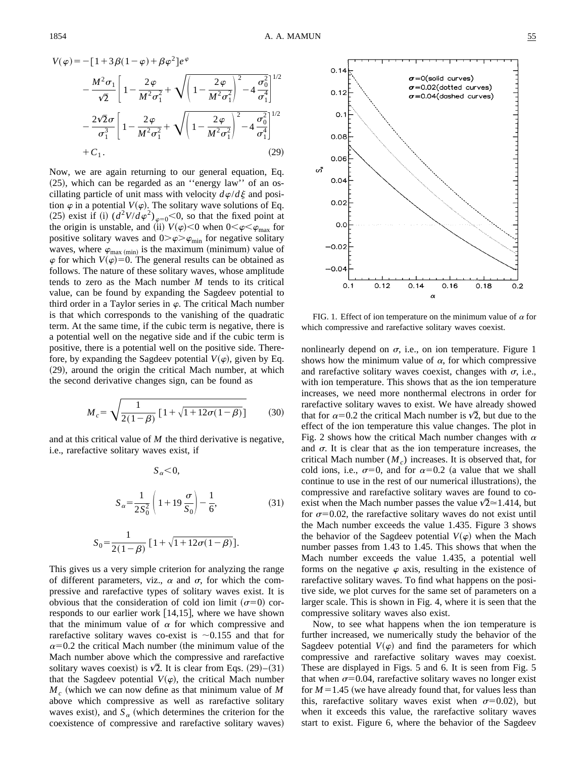$$
V(\varphi) = -[1 + 3\beta(1 - \varphi) + \beta\varphi^{2}]e^{\varphi}
$$
  

$$
- \frac{M^{2}\sigma_{1}}{\sqrt{2}} \left[ 1 - \frac{2\varphi}{M^{2}\sigma_{1}^{2}} + \sqrt{\left( 1 - \frac{2\varphi}{M^{2}\sigma_{1}^{2}} \right)^{2} - 4\frac{\sigma_{0}^{2}}{\sigma_{1}^{4}}} \right]^{1/2}
$$
  

$$
- \frac{2\sqrt{2}\sigma}{\sigma_{1}^{3}} \left[ 1 - \frac{2\varphi}{M^{2}\sigma_{1}^{2}} + \sqrt{\left( 1 - \frac{2\varphi}{M^{2}\sigma_{1}^{2}} \right)^{2} - 4\frac{\sigma_{0}^{2}}{\sigma_{1}^{4}}} \right]^{1/2}
$$
  
+  $C_{1}.$  (29)

Now, we are again returning to our general equation, Eq.  $(25)$ , which can be regarded as an "energy law" of an oscillating particle of unit mass with velocity  $d\varphi/d\xi$  and position  $\varphi$  in a potential  $V(\varphi)$ . The solitary wave solutions of Eq. (25) exist if (i)  $(d^2V/d\varphi^2)_{\varphi=0}$  < 0, so that the fixed point at the origin is unstable, and (ii)  $V(\varphi) < 0$  when  $0 < \varphi < \varphi_{\text{max}}$  for positive solitary waves and  $0 > \varphi > \varphi_{\min}$  for negative solitary waves, where  $\varphi_{\text{max (min)}}$  is the maximum (minimum) value of  $\varphi$  for which  $V(\varphi)=0$ . The general results can be obtained as follows. The nature of these solitary waves, whose amplitude tends to zero as the Mach number *M* tends to its critical value, can be found by expanding the Sagdeev potential to third order in a Taylor series in  $\varphi$ . The critical Mach number is that which corresponds to the vanishing of the quadratic term. At the same time, if the cubic term is negative, there is a potential well on the negative side and if the cubic term is positive, there is a potential well on the positive side. Therefore, by expanding the Sagdeev potential  $V(\varphi)$ , given by Eq.  $(29)$ , around the origin the critical Mach number, at which the second derivative changes sign, can be found as

$$
M_c = \sqrt{\frac{1}{2(1-\beta)} \left[1 + \sqrt{1 + 12\sigma(1-\beta)}\right]}
$$
 (30)

and at this critical value of *M* the third derivative is negative, i.e., rarefactive solitary waves exist, if

$$
S_{\alpha} < 0,
$$
  

$$
S_{\alpha} = \frac{1}{2S_0^2} \left( 1 + 19 \frac{\sigma}{S_0} \right) - \frac{1}{6},
$$
 (31)

$$
S_0 = \frac{1}{2(1-\beta)} [1 + \sqrt{1 + 12\sigma(1-\beta)}].
$$

This gives us a very simple criterion for analyzing the range of different parameters, viz.,  $\alpha$  and  $\sigma$ , for which the compressive and rarefactive types of solitary waves exist. It is obvious that the consideration of cold ion limit  $(\sigma=0)$  corresponds to our earlier work  $\vert 14,15 \vert$ , where we have shown that the minimum value of  $\alpha$  for which compressive and rarefactive solitary waves co-exist is  $\sim 0.155$  and that for  $\alpha$ =0.2 the critical Mach number (the minimum value of the Mach number above which the compressive and rarefactive solitary waves coexist) is  $\sqrt{2}$ . It is clear from Eqs. (29)–(31) that the Sagdeev potential  $V(\varphi)$ , the critical Mach number  $M_c$  (which we can now define as that minimum value of  $M$ above which compressive as well as rarefactive solitary waves exist), and  $S_a$  (which determines the criterion for the coexistence of compressive and rarefactive solitary waves)



FIG. 1. Effect of ion temperature on the minimum value of  $\alpha$  for which compressive and rarefactive solitary waves coexist.

nonlinearly depend on  $\sigma$ , i.e., on ion temperature. Figure 1 shows how the minimum value of  $\alpha$ , for which compressive and rarefactive solitary waves coexist, changes with  $\sigma$ , i.e., with ion temperature. This shows that as the ion temperature increases, we need more nonthermal electrons in order for rarefactive solitary waves to exist. We have already showed that for  $\alpha=0.2$  the critical Mach number is  $\sqrt{2}$ , but due to the effect of the ion temperature this value changes. The plot in Fig. 2 shows how the critical Mach number changes with  $\alpha$ and  $\sigma$ . It is clear that as the ion temperature increases, the critical Mach number  $(M<sub>c</sub>)$  increases. It is observed that, for cold ions, i.e.,  $\sigma=0$ , and for  $\alpha=0.2$  (a value that we shall continue to use in the rest of our numerical illustrations), the compressive and rarefactive solitary waves are found to coexist when the Mach number passes the value  $\sqrt{2} \approx 1.414$ , but for  $\sigma$ =0.02, the rarefactive solitary waves do not exist until the Mach number exceeds the value 1.435. Figure 3 shows the behavior of the Sagdeev potential  $V(\varphi)$  when the Mach number passes from 1.43 to 1.45. This shows that when the Mach number exceeds the value 1.435, a potential well forms on the negative  $\varphi$  axis, resulting in the existence of rarefactive solitary waves. To find what happens on the positive side, we plot curves for the same set of parameters on a larger scale. This is shown in Fig. 4, where it is seen that the compressive solitary waves also exist.

Now, to see what happens when the ion temperature is further increased, we numerically study the behavior of the Sagdeev potential  $V(\varphi)$  and find the parameters for which compressive and rarefactive solitary waves may coexist. These are displayed in Figs. 5 and 6. It is seen from Fig. 5 that when  $\sigma$ =0.04, rarefactive solitary waves no longer exist for  $M=1.45$  (we have already found that, for values less than this, rarefactive solitary waves exist when  $\sigma$ =0.02), but when it exceeds this value, the rarefactive solitary waves start to exist. Figure 6, where the behavior of the Sagdeev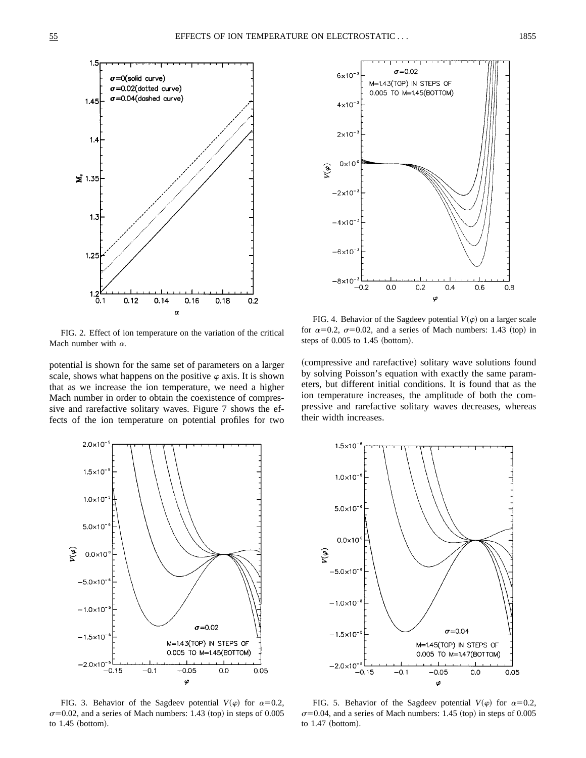

FIG. 2. Effect of ion temperature on the variation of the critical Mach number with  $\alpha$ .

potential is shown for the same set of parameters on a larger scale, shows what happens on the positive  $\varphi$  axis. It is shown that as we increase the ion temperature, we need a higher Mach number in order to obtain the coexistence of compressive and rarefactive solitary waves. Figure 7 shows the effects of the ion temperature on potential profiles for two



FIG. 4. Behavior of the Sagdeev potential  $V(\varphi)$  on a larger scale for  $\alpha=0.2$ ,  $\sigma=0.02$ , and a series of Mach numbers: 1.43 (top) in steps of  $0.005$  to  $1.45$  (bottom).

(compressive and rarefactive) solitary wave solutions found by solving Poisson's equation with exactly the same parameters, but different initial conditions. It is found that as the ion temperature increases, the amplitude of both the compressive and rarefactive solitary waves decreases, whereas their width increases.



FIG. 3. Behavior of the Sagdeev potential  $V(\varphi)$  for  $\alpha=0.2$ ,  $\sigma$ =0.02, and a series of Mach numbers: 1.43 (top) in steps of 0.005 to  $1.45$  (bottom).



FIG. 5. Behavior of the Sagdeev potential  $V(\varphi)$  for  $\alpha=0.2$ ,  $\sigma$ =0.04, and a series of Mach numbers: 1.45 (top) in steps of 0.005 to  $1.47$  (bottom).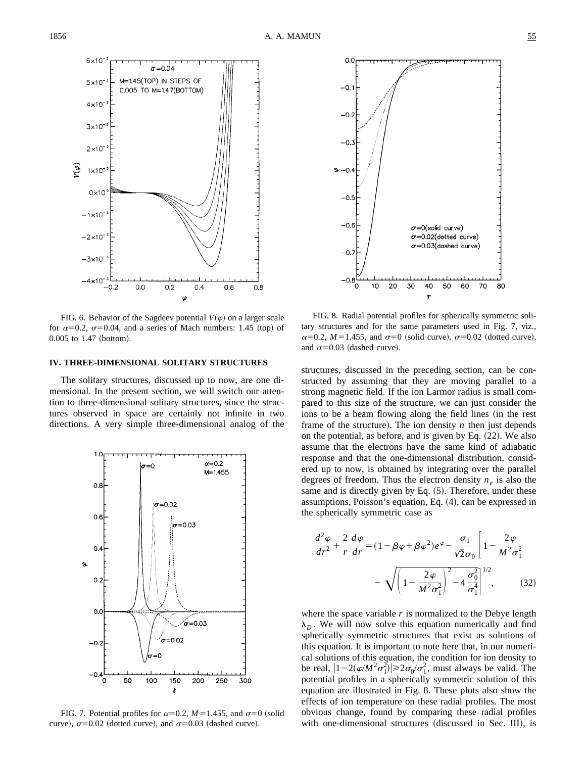

FIG. 6. Behavior of the Sagdeev potential  $V(\varphi)$  on a larger scale for  $\alpha=0.2$ ,  $\sigma=0.04$ , and a series of Mach numbers: 1.45 (top) of  $0.005$  to  $1.47$  (bottom).

# **IV. THREE-DIMENSIONAL SOLITARY STRUCTURES**

The solitary structures, discussed up to now, are one dimensional. In the present section, we will switch our attention to three-dimensional solitary structures, since the structures observed in space are certainly not infinite in two directions. A very simple three-dimensional analog of the



FIG. 7. Potential profiles for  $\alpha=0.2$ ,  $M=1.455$ , and  $\sigma=0$  (solid curve),  $\sigma$ =0.02 (dotted curve), and  $\sigma$ =0.03 (dashed curve).



FIG. 8. Radial potential profiles for spherically symmetric solitary structures and for the same parameters used in Fig. 7, viz.,  $\alpha=0.2$ ,  $M=1.455$ , and  $\sigma=0$  (solid curve),  $\sigma=0.02$  (dotted curve), and  $\sigma$ =0.03 (dashed curve).

structures, discussed in the preceding section, can be constructed by assuming that they are moving parallel to a strong magnetic field. If the ion Larmor radius is small compared to this size of the structure, we can just consider the ions to be a beam flowing along the field lines (in the rest frame of the structure). The ion density  $n$  then just depends on the potential, as before, and is given by Eq.  $(22)$ . We also assume that the electrons have the same kind of adiabatic response and that the one-dimensional distribution, considered up to now, is obtained by integrating over the parallel degrees of freedom. Thus the electron density  $n_e$  is also the same and is directly given by Eq.  $(5)$ . Therefore, under these assumptions, Poisson's equation, Eq.  $(4)$ , can be expressed in the spherically symmetric case as

$$
\frac{d^2\varphi}{dr^2} + \frac{2}{r}\frac{d\varphi}{dr} = (1 - \beta\varphi + \beta\varphi^2)e^{\varphi} - \frac{\sigma_1}{\sqrt{2}\sigma_0} \left[1 - \frac{2\varphi}{M^2\sigma_1^2}\right]
$$

$$
- \sqrt{\left(1 - \frac{2\varphi}{M^2\sigma_1^2}\right)^2 - 4\frac{\sigma_0^2}{\sigma_1^4}} \Big]^{1/2}, \qquad (32)
$$

where the space variable *r* is normalized to the Debye length  $\lambda_D$ . We will now solve this equation numerically and find spherically symmetric structures that exist as solutions of this equation. It is important to note here that, in our numerical solutions of this equation, the condition for ion density to be real,  $|1-2(\varphi/M^2\sigma_1^2)| \ge 2\sigma_0/\sigma_1^2$ , must always be valid. The potential profiles in a spherically symmetric solution of this equation are illustrated in Fig. 8. These plots also show the effects of ion temperature on these radial profiles. The most obvious change, found by comparing these radial profiles with one-dimensional structures (discussed in Sec. III), is